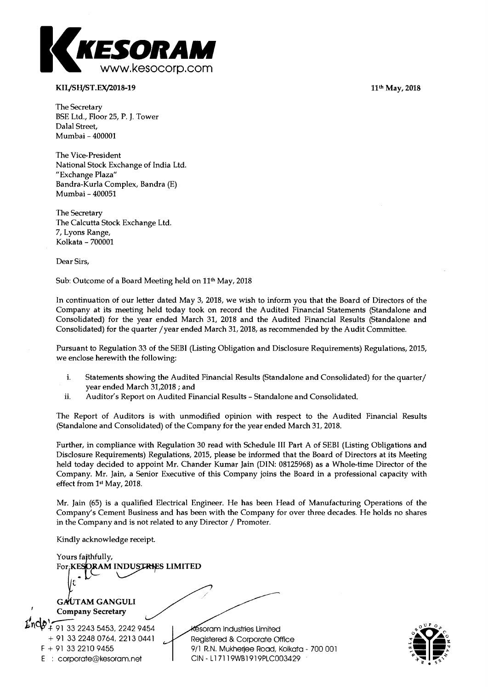**11th May, 2018** 



## **KIL/SH/ST.EX/2018-19**

**The Secretary BSE Ltd., Floor 25, P. J. Tower Dalal Street, Mumbai - 400001** 

**The Vice-President National Stock Exchange of India Ltd. "Exchange Plaza" Bandra-Kurla Complex, Bandra (E) Mumbai - 400051** 

**The Secretary The Calcutta Stock Exchange Ltd. 7, Lyons Range, Kolkata - 700001** 

**Dear Sirs,** 

Sub: Outcome of a Board Meeting held on 11<sup>th</sup> May, 2018

**In continuation of our letter dated May 3, 2018, we wish to inform you that the Board of Directors of the Company at its meeting held today took on record the Audited Financial Statements (Standalone and Consolidated) for the year ended March 31, 2018 and the Audited Financial Results (Standalone and Consolidated) for the quarter /year ended March 31, 2018, as recommended by the Audit Committee.** 

**Pursuant to Regulation 33 of the SEBI (Listing Obligation and Disclosure Requirements) Regulations, 2015, we enclose herewith the following:** 

- **i. Statements showing the Audited Financial Results (Standalone and Consolidated) for the quarter/ year ended March 31,2018 ; and**
- **ii. Auditor's Report on Audited Financial Results Standalone and Consolidated.**

**The Report of Auditors is with unmodified opinion with respect to the Audited Financial Results (Standalone and Consolidated) of the Company for the year ended March 31, 2018.** 

**Further, in compliance with Regulation 30 read with Schedule III Part A of SEBI (Listing Obligations and Disclosure Requirements) Regulations, 2015, please be informed that the Board of Directors at its Meeting held today decided to appoint Mr. Chander Kumar Jain (DIN: 08125968) as a Whole-time Director of the Company. Mr. Jain, a Senior Executive of this Company joins the Board in a professional capacity with effect from 1st May, 2018.** 

**Mr. Jain (65) is a qualified Electrical Engineer. He has been Head of Manufacturing Operations of the Company's Cement Business and has been with the Company for over three decades. He holds no shares in the Company and is not related to any Director / Promoter.** 

**Kindly acknowledge receipt.** 

GAUTAM GANGULI **Company Secretary 44- 91 33 2243 5453, 2242 9454 + 91 33 2248 0764, 2213 0441 F + 91 33 2210 9455 E : corporate@kesoram.net soram Industries Limited Registered & Corporate Office 9/1 R.N. Mukherjee Road, Kolkata - 700 001 CIN - L 1 7119WB1919PLC003429**  Yours faithfully, For **KESORAM INDUSTRIES LIMITED** 

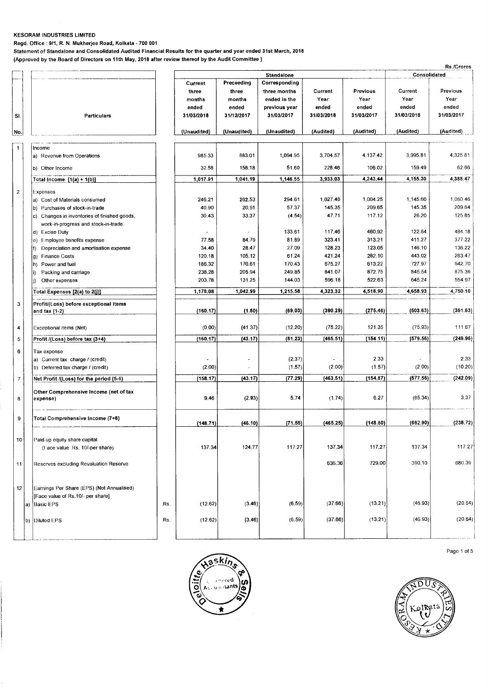**Regd. Office : 9/1, R. N. Mukherjee Road, Kolkata - 700 001** 

**Statement of Standalone and Consolidated Audited Financial Results for the quarter and year ended 31st March, 2018** 

**(Approved by the Board of Directors on 11th May, 2018 after review thereof by the Audit Committee )** 

|                         |                                                                |     |                                                   |                                                      |                                                                              |                                        |                                         |                                        | Rs./Crores                              |
|-------------------------|----------------------------------------------------------------|-----|---------------------------------------------------|------------------------------------------------------|------------------------------------------------------------------------------|----------------------------------------|-----------------------------------------|----------------------------------------|-----------------------------------------|
|                         |                                                                |     |                                                   |                                                      | <b>Standalone</b>                                                            |                                        |                                         | Consolidated                           |                                         |
| SI.                     | Particulars                                                    |     | Current<br>three<br>months<br>ended<br>31/03/2018 | Preceeding<br>three<br>months<br>ended<br>31/12/2017 | Corresponding<br>three months<br>ended in the<br>previous year<br>31/03/2017 | Current<br>Year<br>ended<br>31/03/2018 | Previous<br>Year<br>ended<br>31/03/2017 | Current<br>Year<br>ended<br>31/03/2018 | Previous<br>Year<br>ended<br>31/03/2017 |
| No.                     |                                                                |     | (Unaudited)                                       | (Unaudited)                                          | (Unaudited)                                                                  | (Audited)                              | (Audited)                               | (Audited)                              | (Audited)                               |
|                         |                                                                |     |                                                   |                                                      |                                                                              |                                        |                                         |                                        |                                         |
| $\mathbf{1}$            | Income<br>a) Revenue from Operations                           |     | 985.33                                            | 883.01                                               | 1,094.95                                                                     | 3,704.57                               | 4.137.42                                | 3,995.81                               | 4,325.81                                |
|                         | b) Other Income                                                |     | 32.58                                             | 158.18                                               | 51.60                                                                        | 228.46                                 | 106.02                                  | 159.49                                 | 62.66                                   |
|                         | Total Income $[1(a) + 1(b)]$                                   |     | 1,017.91                                          | 1,041.19                                             | 1.146.55                                                                     | 3,933.03                               | 4,243.44                                | 4,155.30                               | 4,388.47                                |
| $\overline{\mathbf{c}}$ | Expenses                                                       |     |                                                   |                                                      |                                                                              |                                        |                                         |                                        |                                         |
|                         | a) Cost of Materials consumed                                  |     | 246.21                                            | 262.53                                               | 294.61                                                                       | 1,027.40                               | 1,004.25                                | 1,145.60                               | 1,060.46                                |
|                         | b) Purchases of stock-in-trade                                 |     | 40.90                                             | 20.91                                                | 57.37                                                                        | 145.35                                 | 209.65                                  | 145.35                                 | 209.64                                  |
|                         | c) Changes in inventories of finished goods,                   |     | 30.43                                             | 33.37                                                | (4.54)                                                                       | 47.71                                  | 117.12                                  | 26.20                                  | 125.85                                  |
|                         | work-in-progress and stock-in-trade                            |     |                                                   |                                                      |                                                                              |                                        |                                         |                                        |                                         |
|                         | d) Excise Duty                                                 |     | $\ddot{\phantom{1}}$                              |                                                      | 133.61                                                                       | 117.46                                 | 460.92                                  | 122.64                                 | 484.18                                  |
|                         | e) Employee benefits expense                                   |     | 77.58                                             | 84.79                                                | 81.89                                                                        | 323.41                                 | 313.21                                  | 411.27                                 | 377.22                                  |
|                         | Depreciation and amortisation expense<br><b>Finance Costs</b>  |     | 34.40<br>120.18                                   | 28.47<br>105.12                                      | 27.09<br>61.24                                                               | 128.23<br>421.24                       | 123.05<br>282.10                        | 146.10<br>443.02                       | 136.22<br>283.47                        |
|                         | g)<br>Power and fuel<br>h).                                    |     | 186.32                                            | 170.61                                               | 170.43                                                                       | 675.27                                 | 613.22                                  | 727.97                                 | 642.70                                  |
|                         | Packing and carriage                                           |     | 238.28                                            | 205.94                                               | 249.85                                                                       | 841.07                                 | 872.75                                  | 845.54                                 | 875.39                                  |
|                         | Other expenses<br>j)                                           |     | 203.78                                            | 131.25                                               | 144.03                                                                       | 596.18                                 | 522.63                                  | 645.24                                 | 554.97                                  |
|                         | Total Expenses [2(a) to 2(j)]                                  |     | 1,178.08                                          | 1,042.99                                             | 1,215.58                                                                     | 4,323.32                               | 4,518.90                                | 4,658.93                               | 4,750.10                                |
|                         |                                                                |     |                                                   |                                                      |                                                                              |                                        |                                         |                                        |                                         |
| 3                       | Profit/(Loss) before exceptional items<br>and tax $(1-2)$      |     | (160.17)                                          | (1.80)                                               | (69.03)                                                                      | (390.29)                               | (275.46)                                | (503.63)                               | (361.63)                                |
| 4                       | Exceptional items (Net)                                        |     | (0.00)                                            | (41.37)                                              | (12.20)                                                                      | (75.22)                                | 121.35                                  | (75.93)                                | 111.67                                  |
| 5                       | Profit /(Loss) before tax (3+4)                                |     | (160.17)                                          | (43.17)                                              | (81.23)                                                                      | (465.51)                               | (154.11)                                | (579.56)                               | (249.96)                                |
| 6                       | Tax expense                                                    |     |                                                   |                                                      |                                                                              |                                        |                                         |                                        |                                         |
|                         | a) Current tax charge / (credit)                               |     |                                                   | ۰                                                    | (2.37)                                                                       |                                        | 2.33                                    |                                        | 2.33                                    |
|                         | b) Deferred tax charge / (credit)                              |     | (2.00)                                            |                                                      | (1.57)                                                                       | (2.00)                                 | (1.57)                                  | (2.00)                                 | (10.20)                                 |
| $\overline{7}$          | Net Profit /(Loss) for the period (5-6)                        |     | (158.17)                                          | (43.17)                                              | (77.29)                                                                      | (463.51)                               | (154.87)                                | (577.56)                               | (242.09)                                |
|                         |                                                                |     |                                                   |                                                      |                                                                              |                                        |                                         |                                        |                                         |
| 8                       | Other Comprehensive Income (net of tax<br>expense)             |     | 9.46                                              | (2.93)                                               | 5.74                                                                         | (1.74)                                 | 6.27                                    | (85.34)                                | 3.37                                    |
| 9                       | Total Comprehensive Income (7+8)                               |     | (148.71)                                          | (46.10)                                              | (71.55)                                                                      | (465.25)                               | (148.60)                                | (662.90)                               | (238.72)                                |
|                         |                                                                |     |                                                   |                                                      |                                                                              |                                        |                                         |                                        |                                         |
| 10                      | Paid-up equity share capital<br>(Face value Rs. 10/-per share) |     | 137.34                                            | 124.77                                               | 117.27                                                                       | 137.34                                 | 117.27                                  | 137.34                                 | 117.27                                  |
|                         |                                                                |     |                                                   |                                                      |                                                                              |                                        |                                         |                                        |                                         |
| 11                      | Reserves excluding Revaluation Reserve                         |     |                                                   |                                                      |                                                                              | 636,36                                 | 729.00                                  | 390.10                                 | 680.39                                  |
| 12                      | Earnings Per Share (EPS) (Not Annualised)                      |     |                                                   |                                                      |                                                                              |                                        |                                         |                                        |                                         |
|                         | [Face value of Rs.10/- per share]                              |     |                                                   | (3.46)                                               | (6.59)                                                                       | (37.66)                                | (13.21)                                 | (46.93)                                | (20.64)                                 |
|                         | a) Basic EPS                                                   | Rs. | (12.62)                                           |                                                      |                                                                              |                                        |                                         |                                        |                                         |
|                         | b) Diluted EPS                                                 | Rs. | (12.62)                                           | (3.46)                                               | (6.59)                                                                       | (37.66)                                | (13.21)                                 | (46.93)                                | (20.64)                                 |
|                         |                                                                |     |                                                   |                                                      |                                                                              |                                        |                                         |                                        |                                         |





Page 1 of 5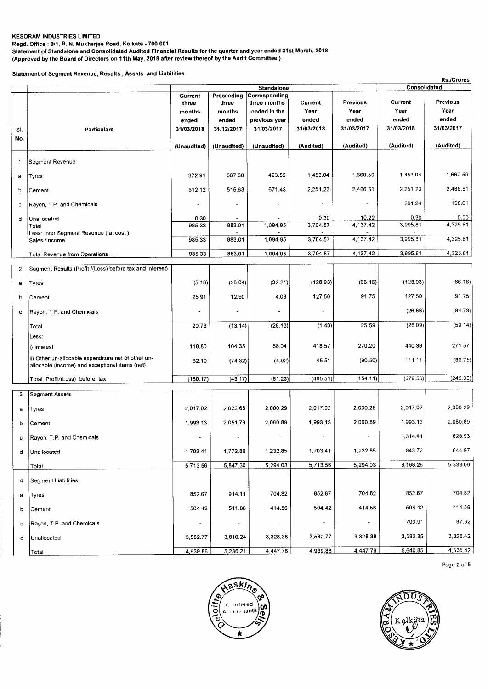**Regd. Office : 9/1, R. N. Mukherjee Road, Kolkata - 700 001** 

**Statement of Standalone and Consolidated Audited Financial Results for the quarter and year ended 31st March, 2018** 

**(Approved by the Board of Directors on 11th May, 2018 after review thereof by the Audit Committee )** 

**Statement of Segment Revenue, Results , Assets and Liabilities** 

|                |                                                                                                       |                |                          |                                    |            |                          |              | Rs./Crores |
|----------------|-------------------------------------------------------------------------------------------------------|----------------|--------------------------|------------------------------------|------------|--------------------------|--------------|------------|
|                |                                                                                                       | Current        | Preceeding               | <b>Standalone</b><br>Corresponding |            |                          | Consolidated |            |
|                |                                                                                                       | three          | three                    | three months                       | Current    | Previous                 | Current      | Previous   |
|                |                                                                                                       | months         | months                   | ended in the                       | Year       | Year                     | Year         | Year       |
|                |                                                                                                       | ended          | ended                    | previous year                      | ended      | ended                    | ended        | ended      |
|                | Particulars                                                                                           | 31/03/2018     | 31/12/2017               | 31/03/2017                         | 31/03/2018 | 31/03/2017               | 31/03/2018   | 31/03/2017 |
| SI.            |                                                                                                       |                |                          |                                    |            |                          |              |            |
| No.            |                                                                                                       | (Unaudited)    | (Unaudited)              | (Unaudited)                        | (Audited)  | (Audited)                | (Audited)    | (Audited)  |
| 1              | Segment Revenue                                                                                       |                |                          |                                    |            |                          |              |            |
| a              | Tyres                                                                                                 | 372.91         | 367.38                   | 423.52                             | 1,453.04   | 1,660.59                 | 1,453.04     | 1,660.59   |
| þ              | Cement                                                                                                | 612.12         | 515.63                   | 671.43                             | 2.251.23   | 2,466.61                 | 2.251.23     | 2,466.61   |
| c              | Rayon, T.P. and Chemicals                                                                             |                |                          |                                    |            |                          | 291.24       | 198.61     |
| d              | Unallocated                                                                                           | 0.30           |                          |                                    | 0.30       | 10.22                    | 0,30         | 0.00       |
|                | Total                                                                                                 | 985.33         | 883.01                   | 1,094.95                           | 3,704.57   | 4,137.42                 | 3,995.81     | 4,325.81   |
|                | Less: Inter Segment Revenue (at cost)<br>Sales /Income                                                | 985.33         | 883.01                   | 1,094.95                           | 3,704.57   | 4,137.42                 | 3,995.81     | 4,325.81   |
|                | Total Revenue from Operations                                                                         | 985.33         | 883.01                   | 1,094.95                           | 3,704.57   | 4,137.42                 | 3,995.81     | 4,325.81   |
| $\overline{2}$ | Segment Results (Profit /(Loss) before tax and interest)                                              |                |                          |                                    |            |                          |              |            |
| a              | Tyres                                                                                                 | (5.18)         | (26.04)                  | (32.21)                            | (128.93)   | (66.16)                  | (128.93)     | (66.16)    |
| b              | Cement                                                                                                | 25.91          | 12.90                    | 4.08                               | 127.50     | 91.75                    | 127.50       | 91.75      |
| c              | Ravon, T.P. and Chemicals                                                                             | $\overline{a}$ | $\overline{\phantom{a}}$ | ٠                                  |            |                          | (26.66)      | (84.73)    |
|                | Total<br>Less:                                                                                        | 20.73          | (13.14)                  | (28.13)                            | (1.43)     | 25.59                    | (28.09)      | (59.14)    |
|                | i) Interest                                                                                           | 118.80         | 104.35                   | 58,04                              | 418.57     | 270.20                   | 440.36       | 271.57     |
|                | ii) Other un-allocable expenditure net of other un-<br>allocable (income) and exceptional items (net) | 62.10          | (74.32)                  | (4.92)                             | 45.51      | (90.50)                  | 111.11       | (80.75)    |
|                | Total Profit/(Loss) before tax                                                                        | (160.17)       | (43.17)                  | (81.23)                            | (465.51)   | (154.11)                 | (579.56)     | (249.96)   |
| 3              | <b>Segment Assets</b>                                                                                 |                |                          |                                    |            |                          |              |            |
| a              | Tyres                                                                                                 | 2.017.02       | 2,022.68                 | 2,000.29                           | 2,017.02   | 2,000.29                 | 2,017.02     | 2.000.29   |
| b              | Cement                                                                                                | 1,993.13       | 2,051.76                 | 2,060.89                           | 1,993.13   | 2,060.89                 | 1,993.13     | 2,060.89   |
| с              | Rayon, T.P. and Chemicals                                                                             |                |                          |                                    |            |                          | 1,314.41     | 626.93     |
| d              | Unallocated                                                                                           | 1,703.41       | 1,772.86                 | 1,232.85                           | 1,703.41   | 1,232.85                 | 843.72       | 644.97     |
|                | Total                                                                                                 | 5,713.56       | 5,847.30                 | 5,294.03                           | 5,713.56   | 5,294.03                 | 6,168.28     | 5,333.08   |
| 4              | Segment Liabilities                                                                                   |                |                          |                                    |            |                          |              |            |
| a              | Tyres                                                                                                 | 852.67         | 914.11                   | 704.82                             | 852.67     | 704.82                   | 852.67       | 704.82     |
| b              | Cement                                                                                                | 504.42         | 511.86                   | 414.56                             | 504.42     | 414.56                   | 504.42       | 414.56     |
| с              | Rayon, T.P. and Chemicals                                                                             |                |                          | $\blacksquare$                     | $\sim$     | $\overline{\phantom{a}}$ | 700.91       | 87.62      |
| d              | Unallocated                                                                                           | 3,582.77       | 3,810.24                 | 3,328.38                           | 3,582.77   | 3,328.38                 | 3,582.85     | 3,328.42   |
|                | Total                                                                                                 | 4,939.86       | 5,236.21                 | 4,447.76                           | 4,939.86   | 4,447.76                 | 5,640.85     | 4,535.42   |





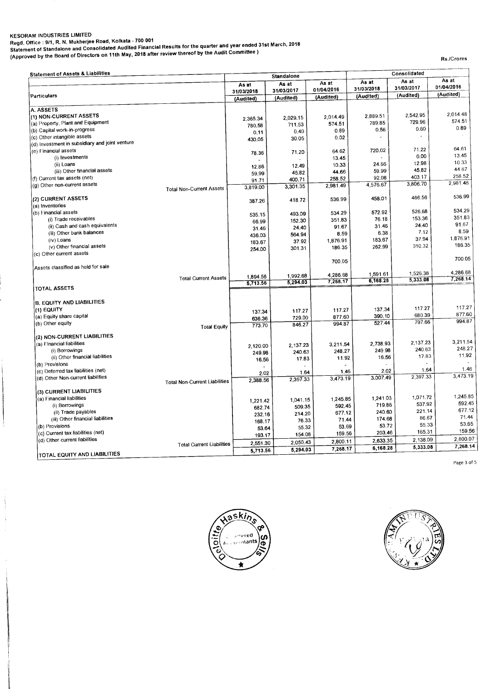**KESORAM INDUSTRIES LIMITED Regd. Office : 9/1, R. N. Mukherjee Road, Kolkata - 700 001 Statement of Standalone and Consolidated Audited Financial Results for the quarter and year ended 31st March, 2018 (Approved by the Board of Directors on 11th May, 2018 after review thereof by the Audit Committee )** 

**Rs./Crores** 

| <b>Statement of Assets &amp; Liabilities</b>   |                                      | Standalone |            |            | Consolidated |                      |                      |
|------------------------------------------------|--------------------------------------|------------|------------|------------|--------------|----------------------|----------------------|
|                                                |                                      | As at      | As at      | As at      | As at        | As at                | As at                |
|                                                |                                      | 31/03/2018 | 31/03/2017 | 01/04/2016 | 31/03/2018   | 31/03/2017           | 01/04/2016           |
| Particulars                                    |                                      | (Audited)  | (Audited)  | (Audited)  | (Audited)    | (Audited)            | (Audited)            |
| A. ASSETS                                      |                                      |            |            |            |              |                      |                      |
| (1) NON-CURRENT ASSETS                         |                                      |            |            | 2,014.49   | 2,889.51     | 2,542.95             | 2.014.48             |
| (a) Property, Plant and Equipment              |                                      | 2.365.34   | 2,029.15   | 574.51     | 789.85       | 729.96               | 574.51               |
| (b) Capital work-in-progress                   |                                      | 780.58     | 711.53     | 0.89       | 0.56         | 0.60                 | 0.89                 |
| (c) Other intangible assets                    |                                      | 0, 11      | 0.40       | 0.02       |              |                      |                      |
| (d) Investment in subsidiary and joint venture |                                      | 430.05     | 30.05      |            |              |                      |                      |
| (e) Financial assets                           |                                      |            |            |            | 720.02       | 71.22                | 64.61                |
| (i) Investments                                |                                      | 78.36      | 71.20      | 64.62      |              | 0.00                 | 13.45                |
|                                                |                                      |            |            | 13.45      | 24.66        | 12.98                | 10.33                |
| (ii) Loans                                     |                                      | 12.86      | 12.49      | 10.33      | 59.99        | 45.82                | 44.67                |
| (iii) Other financial assets                   |                                      | 59.99      | 45.82      | 44.66      |              | 403.17               | 258.52               |
| (f) Current tax assets (net)                   |                                      | 91.71      | 400.71     | 258.52     | 92.08        | 3,806.70             | 2,981.46             |
| (g) Other non-current assets                   | <b>Total Non-Current Assets</b>      | 3,819.00   | 3,301.35   | 2,981.49   | 4,576.67     |                      |                      |
| (2) CURRENT ASSETS                             |                                      |            | 418.72     | 536.99     | 458.01       | 466.56               | 536.99               |
| (a) Inventories                                |                                      | 387.26     |            |            |              |                      |                      |
| (b) Financial assets                           |                                      |            | 493.09     | 534.29     | 572.92       | 526.68               | 534.29               |
| (i) Trade receivables                          |                                      | 535.15     |            | 351.83     | 76.18        | 153.36               | 351.83               |
| (ii) Cash and cash equivalents                 |                                      | 66.99      | 152.30     | 91.67      | 31.46        | 24.40                | 91.67                |
| (iii) Other bank balances                      |                                      | 31.46      | 24.40      |            | 6.38         | 7.12                 | 8.59                 |
| (iv) Loans                                     |                                      | 436.03     | 564.94     | 8.59       | 183.67       | 37.94                | 1,876.91             |
|                                                |                                      | 183.67     | 37.92      | 1,876.91   | 262.99       | 310.32               | 186.35               |
| (v) Other financial assets                     |                                      | 254.00     | 301.31     | 186.35     |              |                      |                      |
| (c) Other current assets                       |                                      |            |            | 700.05     |              |                      | 700.05               |
| Assets classified as held for sale             |                                      |            |            |            |              |                      |                      |
|                                                | <b>Total Current Assets</b>          | 1,894.56   | 1,992.68   | 4,286.68   | 1,591.61     | 1,526.38<br>5,333.08 | 4,286.68<br>7,268.14 |
|                                                |                                      | 5.713.56   | 5,294.03   | 7,268.17   | 6,168.28     |                      |                      |
| <b>TOTAL ASSETS</b>                            |                                      |            |            |            |              |                      |                      |
| <b>B. EQUITY AND LIABILITIES</b>               |                                      |            |            |            |              |                      |                      |
| (1) EQUITY                                     |                                      | 137.34     | 117.27     | 117.27     | 137.34       | 117.27               | 117.27               |
| (a) Equity share capital                       |                                      |            | 729.00     | 877.60     | 390.10       | 680.39               | 877.60               |
| (b) Other equity                               |                                      | 636.36     | 846.27     | 994.87     | 527.44       | 797.66               | 994.87               |
|                                                | <b>Total Equity</b>                  | 773.70     |            |            |              |                      |                      |
| (2) NON-CURRENT LIABILITIES                    |                                      |            |            |            |              |                      |                      |
| (a) Financial liabilities                      |                                      | 2,120.00   | 2,137.23   | 3,211.54   | 2,738.93     | 2.137.23             | 3,211.54             |
| (i) Borrowings                                 |                                      | 249.98     | 240.63     | 248.27     | 249.98       | 240.63               | 248.27               |
| (ii) Other financial liabilities               |                                      | 16.56      | 17.83      | 11.92      | 16.56        | 17.83                | 11.92                |
| (b) Provisions                                 |                                      |            |            |            |              |                      |                      |
| (c) Deferred tax liabilities (net)             |                                      | 2.02       | 1.64       | 1.46       | 2.02         | 1.64                 | 1.46                 |
| (d) Other Non-current liabilities              |                                      | 2,388.56   | 2,397.33   | 3,473,19   | 3,007.49     | 2,397.33             | 3,473.19             |
|                                                | <b>Total Non-Current Liabilities</b> |            |            |            |              |                      |                      |
| (3) CURRENT LIABILITIES                        |                                      |            |            |            |              | 1,071.72             | 1,245.85             |
| (a) Financial liabilities                      |                                      | 1,221.42   | 1,041.15   | 1,245.85   | 1,241.03     | 537.92               | 592.45               |
| (i) Borrowings                                 |                                      | 682.74     | 509.35     | 592.45     | 719.86       |                      | 677.12               |
| (ii) Trade payables                            |                                      | 232.16     | 214.20     | 677.12     | 240.60       | 221.14               | 71.44                |
| (iii) Other financial liabilities              |                                      | 168.17     | 76.33      | 71.44      | 174.68       | 86.67                | 53.65                |
| (b) Provisions                                 |                                      | 53.64      | 55.32      | 53.69      | 53.72        | 55.33                |                      |
| (c) Current tax liabilities (net)              |                                      | 193.17     | 154.08     | 159.56     | 203.46       | 165.31               | 159.56               |
| (d) Other current liabilities                  | <b>Total Current Liabilities</b>     | 2,551.30   | 2,050.43   | 2,800.11   | 2.633.35     | 2,138.09             | 2,800.07             |
| TOTAL EQUITY AND LIABILITIES                   |                                      | 5,713.56   | 5,294.03   | 7,268.17   | 6,168.28     | 5,333.08             | 7,268.14             |

Page 3 of 5



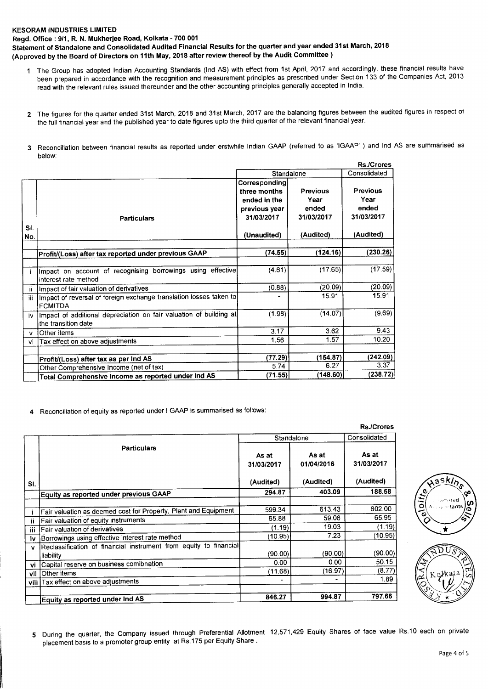**Regd. Office : 9/1, R. N. Mukherjee Road, Kolkata - 700 001** 

**Statement of Standalone and Consolidated Audited Financial Results for the quarter and year ended 31st March, 2018 (Approved by the Board of Directors on 11th May, 2018 after review thereof by the Audit Committee )** 

- **<sup>1</sup>**The Group has adopted Indian Accounting Standards (Ind AS) with effect from 1st April, 2017 and accordingly, these financial results have been prepared in accordance with the recognition and measurement principles as prescribed under Section 133 of the Companies Act, 2013 read with the relevant rules issued thereunder and the other accounting principles generally accepted in India.
- 2 The figures for the quarter ended 31st March, 2018 and 31st March, 2017 are the balancing figures between the audited figures in respect of the full financial year and the published year to date figures upto the third quarter of the relevant financial year.
- **3** Reconciliation between financial results as reported under erstwhile Indian GAAP (referred to as 'IGAAP' ) and Ind AS are summarised as below:

|            |                                                                                           |                                                                                             |                                                             | <b>Rs./Crores</b>                                           |
|------------|-------------------------------------------------------------------------------------------|---------------------------------------------------------------------------------------------|-------------------------------------------------------------|-------------------------------------------------------------|
|            |                                                                                           | Standalone                                                                                  | Consolidated                                                |                                                             |
| SI.<br>No. | <b>Particulars</b>                                                                        | Corresponding<br>three months<br>ended in the<br>previous year<br>31/03/2017<br>(Unaudited) | <b>Previous</b><br>Year<br>ended<br>31/03/2017<br>(Audited) | <b>Previous</b><br>Year<br>ended<br>31/03/2017<br>(Audited) |
|            |                                                                                           |                                                                                             | (124.16)                                                    | (230.26)                                                    |
|            | Profit/(Loss) after tax reported under previous GAAP                                      | (74.55)                                                                                     |                                                             |                                                             |
|            | Impact on account of recognising borrowings using effective<br>interest rate method       | (4.61)                                                                                      | (17.65)                                                     | (17.59)                                                     |
| -ii        | Impact of fair valuation of derivatives                                                   | (0.88)                                                                                      | (20.09)                                                     | (20.09)                                                     |
| iii        | Impact of reversal of foreign exchange translation losses taken to<br><b>FCMITDA</b>      | ۰                                                                                           | 15.91                                                       | 15.91                                                       |
| iv         | Impact of additional depreciation on fair valuation of building at<br>the transition date | (1.98)                                                                                      | (14.07)                                                     | (9.69)                                                      |
| v          | Other items                                                                               | 3.17                                                                                        | 3.62                                                        | 9.43                                                        |
| vi         | Tax effect on above adjustments                                                           | 1.56                                                                                        | 1.57                                                        | 10.20                                                       |
|            |                                                                                           |                                                                                             |                                                             |                                                             |
|            | Profit/(Loss) after tax as per Ind AS                                                     | (77.29)                                                                                     | (154.87)                                                    | (242.09)                                                    |
|            | Other Comprehensive Income (net of tax)                                                   | 5.74                                                                                        | 6.27                                                        | 3.37                                                        |
|            | Total Comprehensive Income as reported under Ind AS                                       | (71.55)                                                                                     | (148.60)                                                    | (238.72)                                                    |

**4** Reconciliation of equity as reported under I GAAP is summarised as follows:

|     |                                                                   |                     |                              | <b>Rs./Crores</b>   |
|-----|-------------------------------------------------------------------|---------------------|------------------------------|---------------------|
|     |                                                                   | Standalone          | Consolidated                 |                     |
|     | <b>Particulars</b>                                                | As at<br>31/03/2017 | As at<br>01/04/2016          | As at<br>31/03/2017 |
| SI. |                                                                   | (Audited)           | (Audited)                    | (Audited)           |
|     | Equity as reported under previous GAAP                            | 294.87              | 403.09                       | 188.58              |
|     |                                                                   |                     |                              |                     |
|     | Fair valuation as deemed cost for Property, Plant and Equipment   | 599.34              | 613.43                       | 602.00              |
| n   | Fair valuation of equity instruments                              | 65.88               | 59.06                        | 65.95               |
| iii | Fair valuation of derivatives                                     | (1.19)              | 19.03                        | (1.19)              |
| iv  | Borrowings using effective interest rate method                   | (10.95)             | 7.23                         | (10.95)             |
| v   | Reclassification of financial instrument from equity to financial |                     |                              |                     |
|     | liability                                                         | (90.00)             | (90.00)                      | (90.00)             |
| vi  | Capital reserve on business comibnation                           | 0.00                | 0.00                         | 50.15               |
| vii | Other items                                                       | (11.68)             | (16.97)                      | (8.77)              |
|     | viii   Tax effect on above adjustments                            | -                   | $\qquad \qquad \blacksquare$ | 1.89                |
|     | Equity as reported under Ind AS                                   | 846.27              | 994.87                       | 797.66              |



**<sup>5</sup>**During the quarter, the Company issued through Preferential Allotment 12,571,429 Equity Shares of face value Rs.10 each on private placement basis to a promoter group entity at Rs.175 per Equity Share .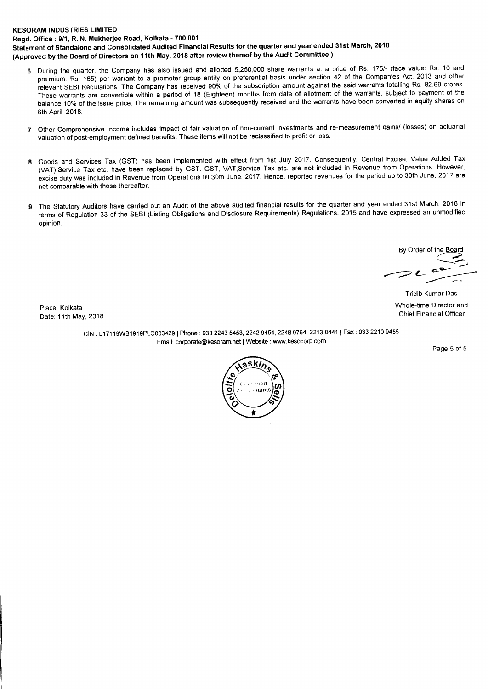**Regd. Office : 9/1, R. N. Mukherjee Road, Kolkata - 700 001** 

**Statement of Standalone and Consolidated Audited Financial Results for the quarter and year ended 31st March, 2018 (Approved by the Board of Directors on 11th May, 2018 after review thereof by the Audit Committee )** 

- **<sup>6</sup>**During the quarter, the Company has also issued and allotted 5,250,000 share warrants at a price of Rs. 175/- (face value: Rs. 10 and preimium: Rs. 165) per warrant to a promoter group entity on preferential basis under section 42 of the Companies Act, 2013 and other relevant SEBI Regulations. The Company has received 90% of the subscription amount against the said warrants totalling Rs. 82.69 crores. These warrants are convertible within a period of 18 (Eighteen) months from date of allotment of the warrants, subject to payment of the balance 10% of the issue price. The remaining amount was subsequently received and the warrants have been converted in equity shares on 6th April, 2018.
- 7 Other Comprehensive Income includes impact of fair valuation of non-current investments and re-measurement gains/ (losses) on actuarial valuation of post-employment defined benefits. These items will not be reclassified to profit or loss.
- **<sup>8</sup>**Goods and Services Tax (GST) has been implemented with effect from 1st July 2017. Consequently, Central Excise, Value Added Tax (VAT),Service Tax etc. have been replaced by GST. GST, VAT,Service Tax etc. are not included in Revenue from Operations. However, excise duty was included in Revenue from Operations till 30th June, 2017. Hence, reported revenues for the period up to 30th June, 2017 are not comparable with those thereafter.
- **9** The Statutory Auditors have carried out an Audit of the above audited financial results for the quarter and year ended 31st March, 2018 in terms of Regulation 33 of the SEBI (Listing Obligations and Disclosure Requirements) Regulations, 2015 and have expressed an unmodified opinion.

By Order of the Board

Date: 11th May, 2018

Tridib Kumar Das Place: Kolkata Whole-time Director and New York and New York and New York and New York and New York and New York and New York and New York and New York and New York and New York and New York and New York and New York and N

> CIN : L17119WB1919PLC003429 I Phone : 033 2243 5453, 2242 9454, 2248 0764, 2213 0441 1 Fax : 033 2210 9455 Email: corporate@kesoram.net I Website : www.kesocorp.com

Page 5 of 5

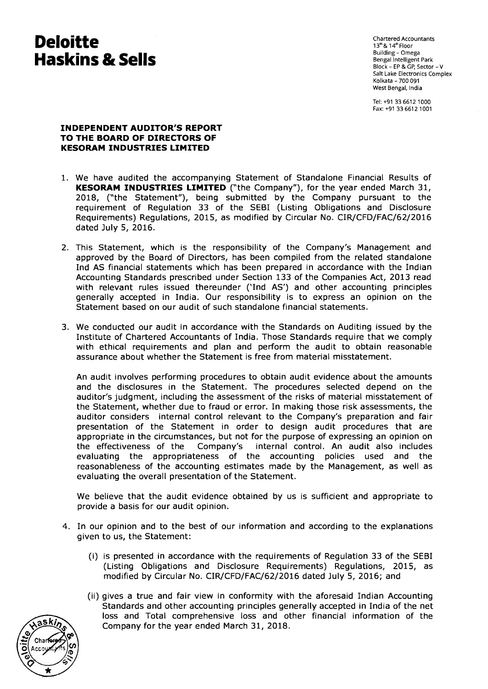Chartered Accountants 13th & 14th Floor Building - Omega Bengal Intelligent Park Block - EP & GP, Sector - V Salt Lake Electronics Complex Kolkata - 700 091 West Bengal, India

Tel: +91 33 6612 1000 Fax: +91 33 6612 1001

## **INDEPENDENT AUDITOR'S REPORT TO THE BOARD OF DIRECTORS OF KESORAM INDUSTRIES LIMITED**

- 1. We have audited the accompanying Statement of Standalone Financial Results of **KESORAM INDUSTRIES LIMITED** ("the Company"), for the year ended March 31, 2018, ("the Statement"), being submitted by the Company pursuant to the requirement of Regulation 33 of the SEBI (Listing Obligations and Disclosure Requirements) Regulations, 2015, as modified by Circular No. CIR/CFD/FAC/62/2016 dated July 5, 2016.
- 2. This Statement, which is the responsibility of the Company's Management and approved by the Board of Directors, has been compiled from the related standalone Ind AS financial statements which has been prepared in accordance with the Indian Accounting Standards prescribed under Section 133 of the Companies Act, 2013 read with relevant rules issued thereunder ('Ind AS') and other accounting principles generally accepted in India. Our responsibility is to express an opinion on the Statement based on our audit of such standalone financial statements.
- 3. We conducted our audit in accordance with the Standards on Auditing issued by the Institute of Chartered Accountants of India. Those Standards require that we comply with ethical requirements and plan and perform the audit to obtain reasonable assurance about whether the Statement is free from material misstatement.

An audit involves performing procedures to obtain audit evidence about the amounts and the disclosures in the Statement. The procedures selected depend on the auditor's judgment, including the assessment of the risks of material misstatement of the Statement, whether due to fraud or error. In making those risk assessments, the auditor considers internal control relevant to the Company's preparation and fair presentation of the Statement in order to design audit procedures that are appropriate in the circumstances, but not for the purpose of expressing an opinion on the effectiveness of the Company's internal control. An audit also includes internal control. An audit also includes evaluating the appropriateness of the accounting policies used and the reasonableness of the accounting estimates made by the Management, as well as evaluating the overall presentation of the Statement.

We believe that the audit evidence obtained by us is sufficient and appropriate to provide a basis for our audit opinion.

- 4. In our opinion and to the best of our information and according to the explanations given to us, the Statement:
	- (i) is presented in accordance with the requirements of Regulation 33 of the SEBI (Listing Obligations and Disclosure Requirements) Regulations, 2015, as modified by Circular No. CIR/CFD/FAC/62/2016 dated July 5, 2016; and
	- (ii) gives a true and fair view in conformity with the aforesaid Indian Accounting Standards and other accounting principles generally accepted in India of the net loss and Total comprehensive loss and other financial information of the Company for the year ended March 31, 2018.

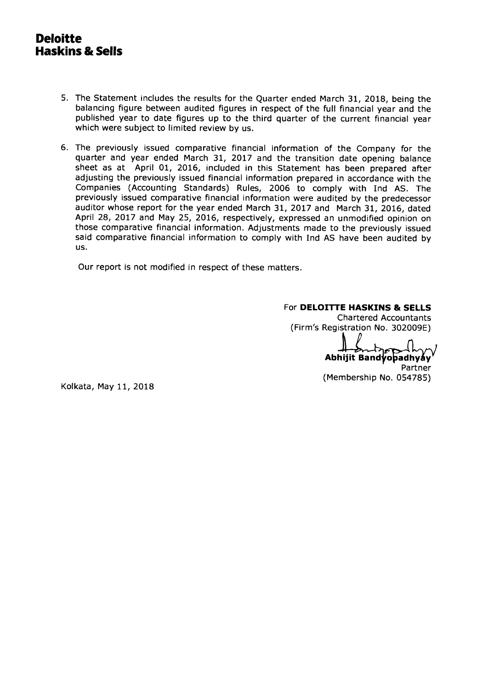- 5. The Statement includes the results for the Quarter ended March 31, 2018, being the balancing figure between audited figures in respect of the full financial year and the published year to date figures up to the third quarter of the current financial year which were subject to limited review by us.
- 6. The previously issued comparative financial information of the Company for the quarter and year ended March 31, 2017 and the transition date opening balance sheet as at April 01, 2016, included in this Statement has been prepared after adjusting the previously issued financial information prepared in accordance with the Companies (Accounting Standards) Rules, 2006 to comply with Ind AS. The previously issued comparative financial information were audited by the predecessor auditor whose report for the year ended March 31, 2017 and March 31, 2016, dated April 28, 2017 and May 25, 2016, respectively, expressed an unmodified opinion on those comparative financial information. Adjustments made to the previously issued said comparative financial information to comply with Ind AS have been audited by us.

Our report is not modified in respect of these matters.

### For **DELOITTE HASKINS & SELLS**

Chartered Accountants (Firm's Registration No. 302009E)

**Abhijit Bandyoaadhyay**  Partner

(Membership No. 054785)

Kolkata, May 11, 2018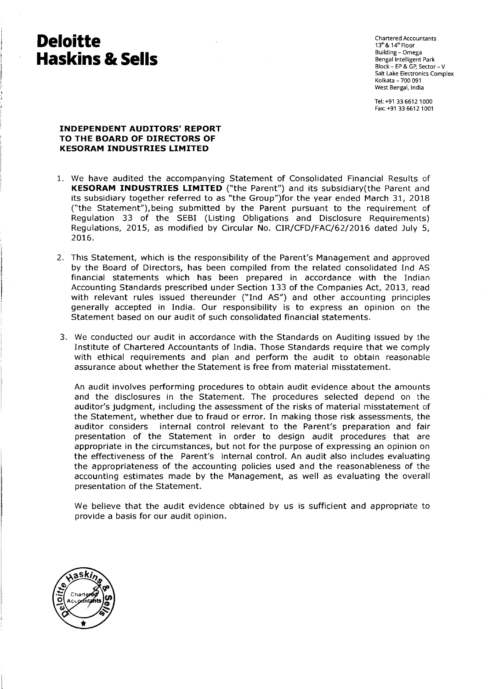Chartered Accountants  $13^{\text{th}}$  &  $14^{\text{th}}$  Floor Building - Omega Bengal Intelligent Park Block - EP & GP, Sector - V Salt Lake Electronics Complex Kolkata - 700 091 West Bengal, India

Tel: +91 33 6612 1000 Fax: +91 33 6612 1001

## **INDEPENDENT AUDITORS' REPORT TO THE BOARD OF DIRECTORS OF KESORAM INDUSTRIES LIMITED**

- 1. We have audited the accompanying Statement of Consolidated Financial Results of **KESORAM INDUSTRIES LIMITED** ("the Parent") and its subsidiary(the Parent and its subsidiary together referred to as "the Group")for the year ended March 31, 2018 ("the Statement"),being submitted by the Parent pursuant to the requirement of Regulation 33 of the SEBI (Listing Obligations and Disclosure Requirements) Regulations, 2015, as modified by Circular No. CIR/CFD/FAC/62/2016 dated July 5, 2016.
- 2. This Statement, which is the responsibility of the Parent's Management and approved by the Board of Directors, has been compiled from the related consolidated Ind AS financial statements which has been prepared in accordance with the Indian Accounting Standards prescribed under Section 133 of the Companies Act, 2013, read with relevant rules issued thereunder ("Ind AS") and other accounting principles generally accepted in India. Our responsibility is to express an opinion on the Statement based on our audit of such consolidated financial statements.
- 3. We conducted our audit in accordance with the Standards on Auditing issued by the Institute of Chartered Accountants of India. Those Standards require that we comply with ethical requirements and plan and perform the audit to obtain reasonable assurance about whether the Statement is free from material misstatement.

An audit involves performing procedures to obtain audit evidence about the amounts and the disclosures in the Statement. The procedures selected depend on the auditor's judgment, including the assessment of the risks of material misstatement of the Statement, whether due to fraud or error. In making those risk assessments, the auditor considers internal control relevant to the Parent's preparation and fair presentation of the Statement in order to design audit procedures that are appropriate in the circumstances, but not for the purpose of expressing an opinion on the effectiveness of the Parent's internal control. An audit also includes evaluating the appropriateness of the accounting policies used and the reasonableness of the accounting estimates made by the Management, as well as evaluating the overall presentation of the Statement.

We believe that the audit evidence obtained by us is sufficient and appropriate to provide a basis for our audit opinion.

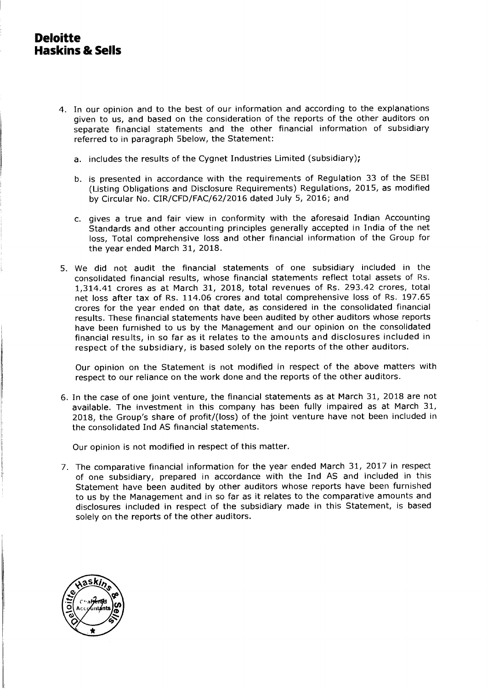- 4. In our opinion and to the best of our information and according to the explanations given to us, and based on the consideration of the reports of the other auditors on separate financial statements and the other financial information of subsidiary referred to in paragraph 5below, the Statement:
	- a. includes the results of the Cygnet Industries Limited (subsidiary);
	- b. is presented in accordance with the requirements of Regulation 33 of the SEBI (Listing Obligations and Disclosure Requirements) Regulations, 2015, as modified by Circular No. CIR/CFD/FAC/62/2016 dated July 5, 2016; and
	- c. gives a true and fair view in conformity with the aforesaid Indian Accounting Standards and other accounting principles generally accepted in India of the net loss, Total comprehensive loss and other financial information of the Group for the year ended March 31, 2018.
- 5. We did not audit the financial statements of one subsidiary included in the consolidated financial results, whose financial statements reflect total assets of Rs. 1,314.41 crores as at March 31, 2018, total revenues of Rs. 293.42 crores, total net loss after tax of Rs. 114.06 crores and total comprehensive loss of Rs. 197.65 crores for the year ended on that date, as considered in the consolidated financial results. These financial statements have been audited by other auditors whose reports have been furnished to us by the Management and our opinion on the consolidated financial results, in so far as it relates to the amounts and disclosures included in respect of the subsidiary, is based solely on the reports of the other auditors.

Our opinion on the Statement is not modified in respect of the above matters with respect to our reliance on the work done and the reports of the other auditors.

6. In the case of one joint venture, the financial statements as at March 31, 2018 are not available. The investment in this company has been fully impaired as at March 31, 2018, the Group's share of profit/(loss) of the joint venture have not been included in the consolidated Ind AS financial statements.

Our opinion is not modified in respect of this matter.

7. The comparative financial information for the year ended March 31, 2017 in respect of one subsidiary, prepared in accordance with the Ind AS and included in this Statement have been audited by other auditors whose reports have been furnished to us by the Management and in so far as it relates to the comparative amounts and disclosures included in respect of the subsidiary made in this Statement, is based solely on the reports of the other auditors.